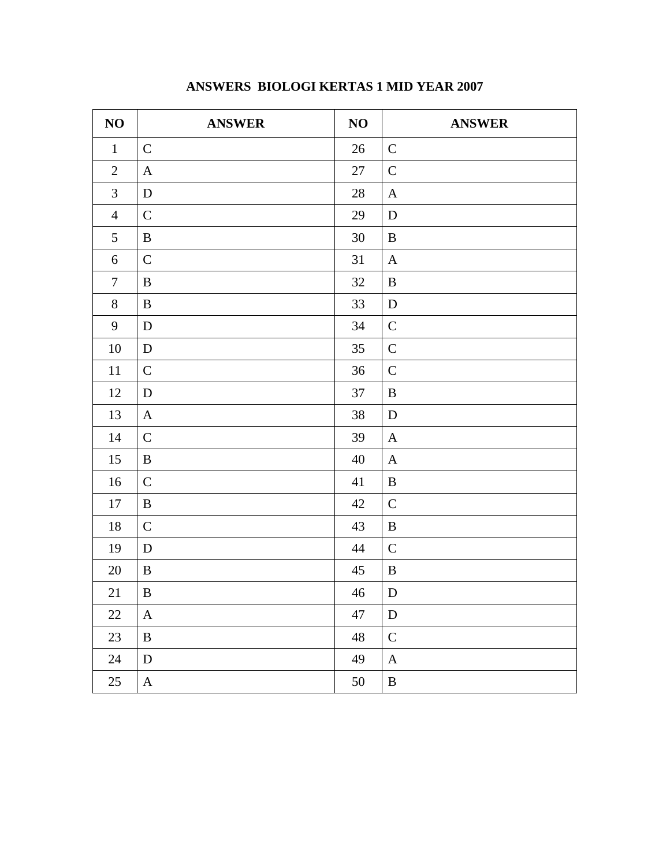| NO               | <b>ANSWER</b> | NO | <b>ANSWER</b>             |
|------------------|---------------|----|---------------------------|
| $\mathbf{1}$     | $\mathbf C$   | 26 | $\mathbf C$               |
| $\sqrt{2}$       | $\mathbf{A}$  | 27 | $\mathbf C$               |
| $\mathfrak{Z}$   | ${\bf D}$     | 28 | $\mathbf{A}$              |
| $\overline{4}$   | $\mathbf C$   | 29 | $\mathbf D$               |
| 5                | $\, {\bf B}$  | 30 | $\, {\bf B}$              |
| $\boldsymbol{6}$ | $\mathbf C$   | 31 | $\mathbf{A}$              |
| $\boldsymbol{7}$ | $\, {\bf B}$  | 32 | $\, {\bf B}$              |
| $8\,$            | $\bf{B}$      | 33 | D                         |
| $\mathbf{9}$     | ${\bf D}$     | 34 | $\mathsf C$               |
| 10               | ${\bf D}$     | 35 | $\mathsf C$               |
| 11               | $\mathbf C$   | 36 | $\mathbf C$               |
| 12               | ${\bf D}$     | 37 | $\bf{B}$                  |
| 13               | $\mathbf A$   | 38 | D                         |
| 14               | $\mathbf C$   | 39 | $\boldsymbol{\mathsf{A}}$ |
| 15               | $\, {\bf B}$  | 40 | $\mathbf{A}$              |
| 16               | $\mathbf C$   | 41 | $\bf{B}$                  |
| 17               | $\, {\bf B}$  | 42 | $\mathbf C$               |
| $18\,$           | $\mathbf C$   | 43 | $\, {\bf B}$              |
| 19               | ${\bf D}$     | 44 | $\mathbf C$               |
| 20               | $\, {\bf B}$  | 45 | $\bf{B}$                  |
| $21\,$           | $\, {\bf B}$  | 46 | ${\bf D}$                 |
| 22               | $\mathbf{A}$  | 47 | ${\bf D}$                 |
| 23               | $\bf{B}$      | 48 | $\mathsf C$               |
| 24               | $\mathbf D$   | 49 | $\mathbf{A}$              |
| 25               | $\mathbf{A}$  | 50 | $\bf{B}$                  |

#### **ANSWERS BIOLOGI KERTAS 1 MID YEAR 2007**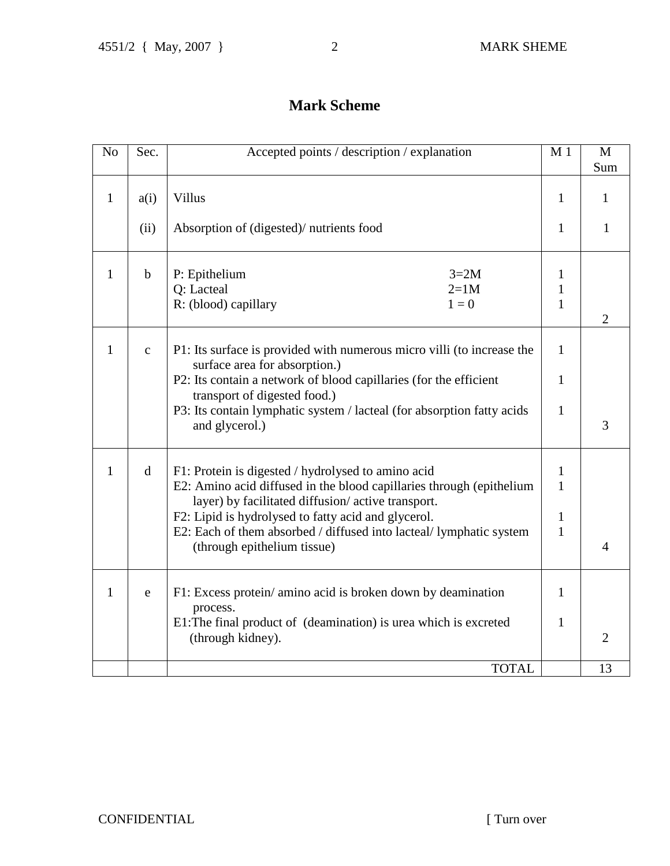## **Mark Scheme**

| N <sub>o</sub> | Sec.         | Accepted points / description / explanation                                                                                                                                                                                                                                                                                                  | M <sub>1</sub>                    | M              |
|----------------|--------------|----------------------------------------------------------------------------------------------------------------------------------------------------------------------------------------------------------------------------------------------------------------------------------------------------------------------------------------------|-----------------------------------|----------------|
|                |              |                                                                                                                                                                                                                                                                                                                                              |                                   | Sum            |
| 1              | a(i)         | Villus                                                                                                                                                                                                                                                                                                                                       | $\mathbf{1}$                      | 1              |
|                | (ii)         | Absorption of (digested)/ nutrients food                                                                                                                                                                                                                                                                                                     | 1                                 | 1              |
| 1              | $\mathbf b$  | P: Epithelium<br>$3=2M$<br>Q: Lacteal<br>$2=1M$<br>R: (blood) capillary<br>$1 = 0$                                                                                                                                                                                                                                                           | 1<br>$\mathbf{1}$<br>1            | $\overline{2}$ |
| 1              | $\mathbf{c}$ | P1: Its surface is provided with numerous micro villi (to increase the<br>surface area for absorption.)<br>P2: Its contain a network of blood capillaries (for the efficient<br>transport of digested food.)<br>P3: Its contain lymphatic system / lacteal (for absorption fatty acids<br>and glycerol.)                                     | $\mathbf{1}$<br>$\mathbf{1}$<br>1 | 3              |
| $\mathbf{1}$   | $\mathbf d$  | F1: Protein is digested / hydrolysed to amino acid<br>E2: Amino acid diffused in the blood capillaries through (epithelium<br>layer) by facilitated diffusion/active transport.<br>F2: Lipid is hydrolysed to fatty acid and glycerol.<br>E2: Each of them absorbed / diffused into lacteal/ lymphatic system<br>(through epithelium tissue) | $\mathbf{1}$<br>1<br>1<br>1       | $\overline{4}$ |
| 1              | $\mathbf e$  | F1: Excess protein/ amino acid is broken down by deamination<br>process.<br>E1: The final product of (deamination) is urea which is excreted<br>(through kidney).                                                                                                                                                                            | 1<br>1                            | $\overline{2}$ |
|                |              | <b>TOTAL</b>                                                                                                                                                                                                                                                                                                                                 |                                   | 13             |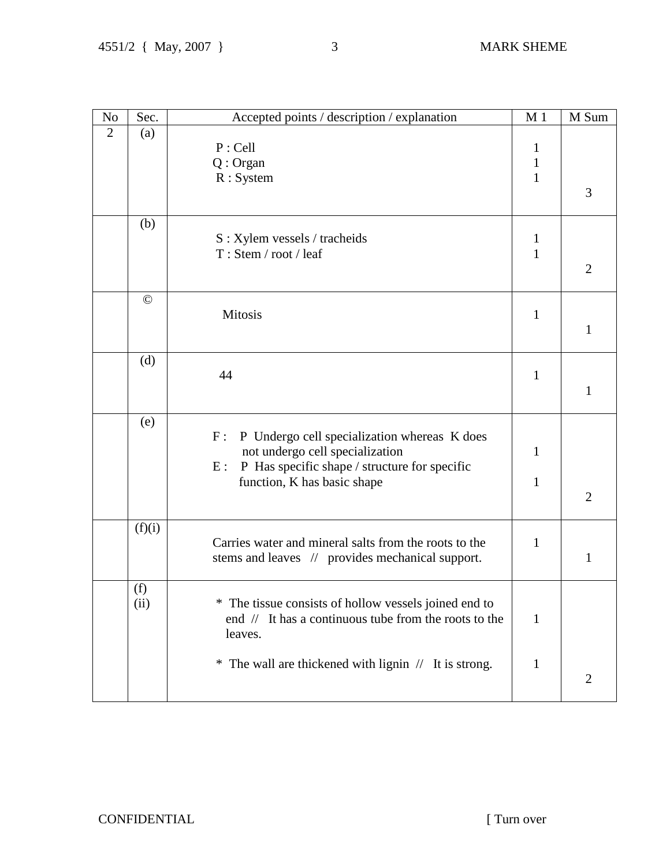| No | Sec.        | Accepted points / description / explanation                                                                                                                                    | M <sub>1</sub>                    | M Sum          |
|----|-------------|--------------------------------------------------------------------------------------------------------------------------------------------------------------------------------|-----------------------------------|----------------|
| 2  | (a)         | P: Cell<br>Q: Organ<br>R: System                                                                                                                                               | 1<br>$\mathbf{1}$<br>$\mathbf{1}$ | 3              |
|    | (b)         | S: Xylem vessels / tracheids<br>$T:$ Stem / root / leaf                                                                                                                        | 1<br>$\mathbf{1}$                 | $\overline{2}$ |
|    | $\odot$     | <b>Mitosis</b>                                                                                                                                                                 | $\mathbf{1}$                      | 1              |
|    | (d)         | 44                                                                                                                                                                             | 1                                 | $\mathbf{1}$   |
|    | (e)         | P Undergo cell specialization whereas K does<br>F:<br>not undergo cell specialization<br>P Has specific shape / structure for specific<br>$E$ :<br>function, K has basic shape | $\mathbf{1}$<br>1                 | $\overline{2}$ |
|    | (f)(i)      | Carries water and mineral salts from the roots to the<br>stems and leaves // provides mechanical support.                                                                      | 1                                 | $\mathbf{1}$   |
|    | (f)<br>(ii) | The tissue consists of hollow vessels joined end to<br>end // It has a continuous tube from the roots to the<br>leaves.                                                        | 1                                 |                |
|    |             | The wall are thickened with lignin $//$ It is strong.<br>$*$                                                                                                                   | 1                                 | $\overline{2}$ |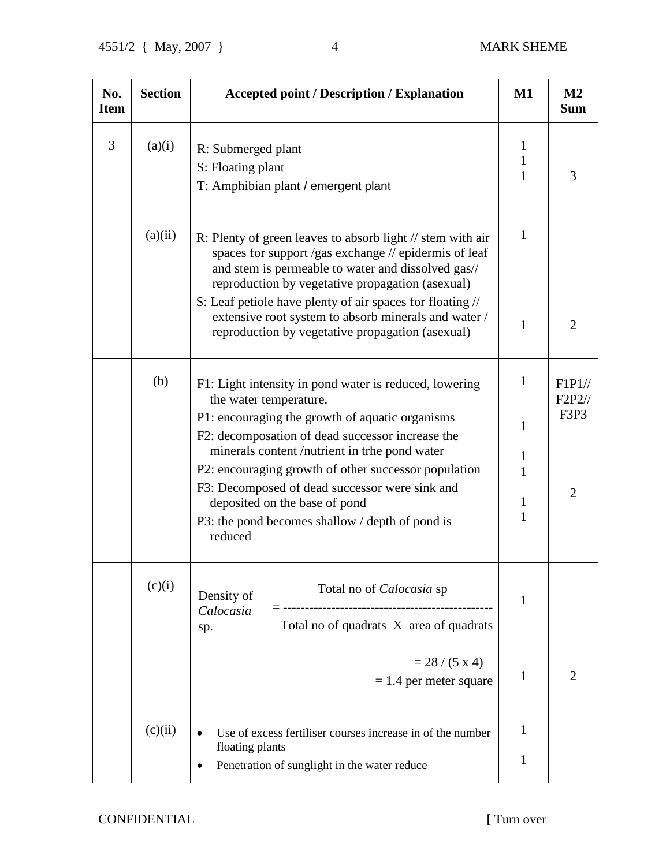| No.<br><b>Item</b> | <b>Section</b> | <b>Accepted point / Description / Explanation</b>                                                                                                                                                                                                                                                                                                                                                                                                 | $\mathbf{M1}$                         | M <sub>2</sub><br><b>Sum</b>             |
|--------------------|----------------|---------------------------------------------------------------------------------------------------------------------------------------------------------------------------------------------------------------------------------------------------------------------------------------------------------------------------------------------------------------------------------------------------------------------------------------------------|---------------------------------------|------------------------------------------|
| 3                  | (a)(i)         | R: Submerged plant<br>S: Floating plant<br>T: Amphibian plant / emergent plant                                                                                                                                                                                                                                                                                                                                                                    | $\mathbf{1}$<br>1<br>1                | 3                                        |
|                    | (a)(ii)        | R: Plenty of green leaves to absorb light // stem with air<br>spaces for support /gas exchange // epidermis of leaf<br>and stem is permeable to water and dissolved gas//<br>reproduction by vegetative propagation (asexual)<br>S: Leaf petiole have plenty of air spaces for floating //<br>extensive root system to absorb minerals and water /<br>reproduction by vegetative propagation (asexual)                                            | 1<br>$\mathbf{1}$                     | $\overline{2}$                           |
|                    | (b)            | F1: Light intensity in pond water is reduced, lowering<br>the water temperature.<br>P1: encouraging the growth of aquatic organisms<br>F2: decomposation of dead successor increase the<br>minerals content /nutrient in trhe pond water<br>P2: encouraging growth of other successor population<br>F3: Decomposed of dead successor were sink and<br>deposited on the base of pond<br>P3: the pond becomes shallow / depth of pond is<br>reduced | $\mathbf{1}$<br>1<br>1<br>1<br>1<br>1 | F1P1/<br>F2P2/<br>F3P3<br>$\overline{2}$ |
|                    | (c)(i)         | Total no of Calocasia sp<br>Density of<br>Calocasia<br>Total no of quadrats X area of quadrats<br>sp.<br>$= 28 / (5 \times 4)$<br>$= 1.4$ per meter square                                                                                                                                                                                                                                                                                        | 1<br>$\mathbf{1}$                     | 2                                        |
|                    | (c)(ii)        | Use of excess fertiliser courses increase in of the number<br>floating plants<br>Penetration of sunglight in the water reduce                                                                                                                                                                                                                                                                                                                     | 1<br>$\mathbf{1}$                     |                                          |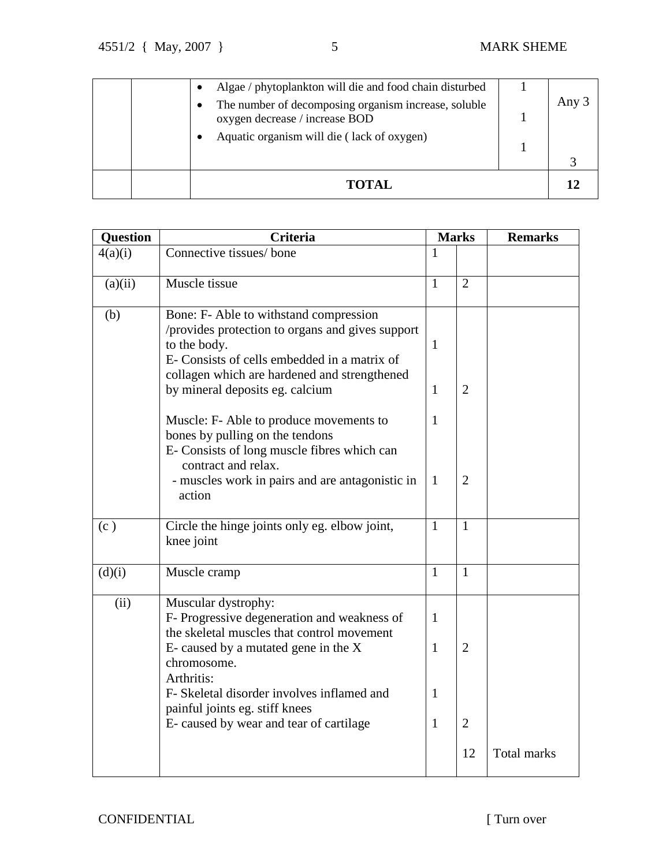|           | TOTAL                                                                                                           |       |
|-----------|-----------------------------------------------------------------------------------------------------------------|-------|
|           | oxygen decrease / increase BOD<br>Aquatic organism will die (lack of oxygen)                                    |       |
| $\bullet$ | Algae / phytoplankton will die and food chain disturbed<br>The number of decomposing organism increase, soluble | Any 3 |

| Question | Criteria                                                                                                                                                                                                  |              | <b>Marks</b>   | <b>Remarks</b>     |
|----------|-----------------------------------------------------------------------------------------------------------------------------------------------------------------------------------------------------------|--------------|----------------|--------------------|
| 4(a)(i)  | Connective tissues/bone                                                                                                                                                                                   | 1            |                |                    |
| (a)(ii)  | Muscle tissue                                                                                                                                                                                             | $\mathbf{1}$ | $\overline{2}$ |                    |
| (b)      | Bone: F- Able to withstand compression<br>/provides protection to organs and gives support<br>to the body.<br>E-Consists of cells embedded in a matrix of<br>collagen which are hardened and strengthened | $\mathbf{1}$ |                |                    |
|          | by mineral deposits eg. calcium                                                                                                                                                                           | 1            | $\overline{2}$ |                    |
|          | Muscle: F- Able to produce movements to<br>bones by pulling on the tendons<br>E- Consists of long muscle fibres which can<br>contract and relax.                                                          | $\mathbf{1}$ |                |                    |
|          | - muscles work in pairs and are antagonistic in<br>action                                                                                                                                                 | 1            | $\overline{2}$ |                    |
| (c)      | Circle the hinge joints only eg. elbow joint,<br>knee joint                                                                                                                                               | $\mathbf{1}$ | 1              |                    |
| (d)(i)   | Muscle cramp                                                                                                                                                                                              | $\mathbf{1}$ | $\mathbf{1}$   |                    |
| (ii)     | Muscular dystrophy:<br>F- Progressive degeneration and weakness of<br>the skeletal muscles that control movement                                                                                          | 1            |                |                    |
|          | $E$ - caused by a mutated gene in the X<br>chromosome.<br>Arthritis:                                                                                                                                      | $\mathbf{1}$ | $\overline{2}$ |                    |
|          | F- Skeletal disorder involves inflamed and<br>painful joints eg. stiff knees                                                                                                                              | 1            |                |                    |
|          | E-caused by wear and tear of cartilage                                                                                                                                                                    | 1            | $\overline{2}$ |                    |
|          |                                                                                                                                                                                                           |              | 12             | <b>Total marks</b> |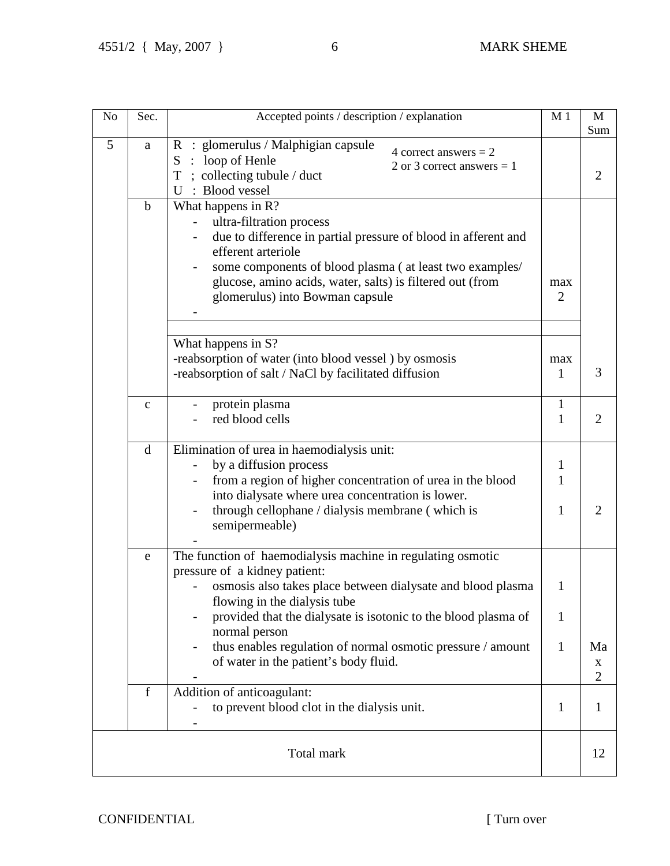| N <sub>o</sub> | Sec.        | Accepted points / description / explanation                                                  | M <sub>1</sub>        | M              |
|----------------|-------------|----------------------------------------------------------------------------------------------|-----------------------|----------------|
| 5              |             | R : glomerulus / Malphigian capsule                                                          |                       | Sum            |
|                | a           | 4 correct answers $= 2$<br>$:$ loop of Henle<br>S.                                           |                       |                |
|                |             | 2 or 3 correct answers $= 1$<br>; collecting tubule / duct<br>T                              |                       | 2              |
|                |             | : Blood vessel<br>U                                                                          |                       |                |
|                | $\mathbf b$ | What happens in R?                                                                           |                       |                |
|                |             | ultra-filtration process                                                                     |                       |                |
|                |             | due to difference in partial pressure of blood in afferent and                               |                       |                |
|                |             | efferent arteriole                                                                           |                       |                |
|                |             | some components of blood plasma (at least two examples/                                      |                       |                |
|                |             | glucose, amino acids, water, salts) is filtered out (from<br>glomerulus) into Bowman capsule | max<br>$\overline{2}$ |                |
|                |             |                                                                                              |                       |                |
|                |             |                                                                                              |                       |                |
|                |             | What happens in S?                                                                           |                       |                |
|                |             | -reabsorption of water (into blood vessel) by osmosis                                        | max                   |                |
|                |             | -reabsorption of salt / NaCl by facilitated diffusion                                        | 1                     | 3              |
|                |             |                                                                                              |                       |                |
|                | $\mathbf c$ | protein plasma<br>red blood cells                                                            | 1<br>1                | 2              |
|                |             |                                                                                              |                       |                |
|                | d           | Elimination of urea in haemodialysis unit:                                                   |                       |                |
|                |             | by a diffusion process                                                                       | $\mathbf 1$           |                |
|                |             | from a region of higher concentration of urea in the blood                                   | 1                     |                |
|                |             | into dialysate where urea concentration is lower.                                            |                       |                |
|                |             | through cellophane / dialysis membrane (which is                                             | 1                     | 2              |
|                |             | semipermeable)                                                                               |                       |                |
|                | e           | The function of haemodialysis machine in regulating osmotic                                  |                       |                |
|                |             | pressure of a kidney patient:                                                                |                       |                |
|                |             | osmosis also takes place between dialysate and blood plasma                                  | 1                     |                |
|                |             | flowing in the dialysis tube                                                                 |                       |                |
|                |             | provided that the dialysate is isotonic to the blood plasma of                               | 1                     |                |
|                |             | normal person<br>thus enables regulation of normal osmotic pressure / amount                 | 1                     | Ma             |
|                |             | of water in the patient's body fluid.                                                        |                       | X              |
|                |             |                                                                                              |                       | $\overline{2}$ |
|                | $\mathbf f$ | Addition of anticoagulant:                                                                   |                       |                |
|                |             | to prevent blood clot in the dialysis unit.                                                  | 1                     | 1              |
|                |             |                                                                                              |                       |                |
|                |             | Total mark                                                                                   |                       | 12             |
|                |             |                                                                                              |                       |                |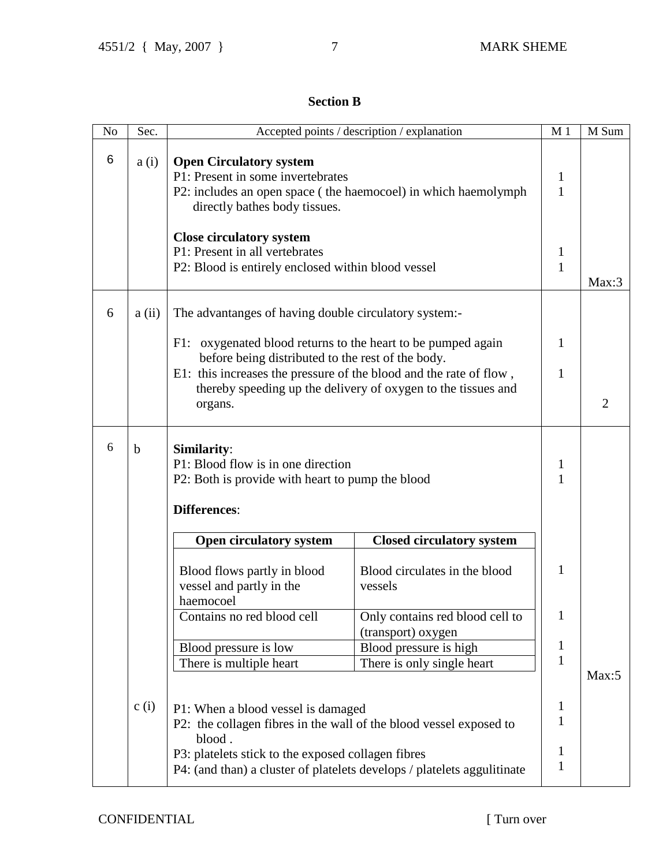### **Section B**

| N <sub>o</sub> | Sec.        | Accepted points / description / explanation                                                                                                                                                                                                                                                                                                                                               | M <sub>1</sub>               | M Sum |
|----------------|-------------|-------------------------------------------------------------------------------------------------------------------------------------------------------------------------------------------------------------------------------------------------------------------------------------------------------------------------------------------------------------------------------------------|------------------------------|-------|
| 6              | a(i)        | <b>Open Circulatory system</b><br>P1: Present in some invertebrates<br>P2: includes an open space (the haemocoel) in which haemolymph<br>directly bathes body tissues.                                                                                                                                                                                                                    | 1<br>$\mathbf{1}$            |       |
|                |             | <b>Close circulatory system</b><br>P1: Present in all vertebrates<br>P2: Blood is entirely enclosed within blood vessel                                                                                                                                                                                                                                                                   | $\mathbf{1}$<br>$\mathbf{1}$ | Max:3 |
| 6              | a(i)        | The advantanges of having double circulatory system:-<br>F1: oxygenated blood returns to the heart to be pumped again<br>before being distributed to the rest of the body.<br>E1: this increases the pressure of the blood and the rate of flow,<br>thereby speeding up the delivery of oxygen to the tissues and<br>organs.                                                              | 1<br>1                       | 2     |
| 6              | $\mathbf b$ | Similarity:<br>P1: Blood flow is in one direction<br>P2: Both is provide with heart to pump the blood<br><b>Differences:</b>                                                                                                                                                                                                                                                              | 1<br>1                       |       |
|                |             | <b>Closed circulatory system</b><br><b>Open circulatory system</b><br>Blood circulates in the blood<br>Blood flows partly in blood<br>vessel and partly in the<br>vessels<br>haemocoel<br>Contains no red blood cell<br>Only contains red blood cell to<br>(transport) oxygen<br>Blood pressure is high<br>Blood pressure is low<br>There is multiple heart<br>There is only single heart | 1<br>1<br>1                  | Max:5 |
|                | c(i)        | P1: When a blood vessel is damaged<br>P2: the collagen fibres in the wall of the blood vessel exposed to<br>blood.<br>P3: platelets stick to the exposed collagen fibres<br>P4: (and than) a cluster of platelets develops / platelets aggulitinate                                                                                                                                       | $\mathbf{1}$<br>1<br>1<br>1  |       |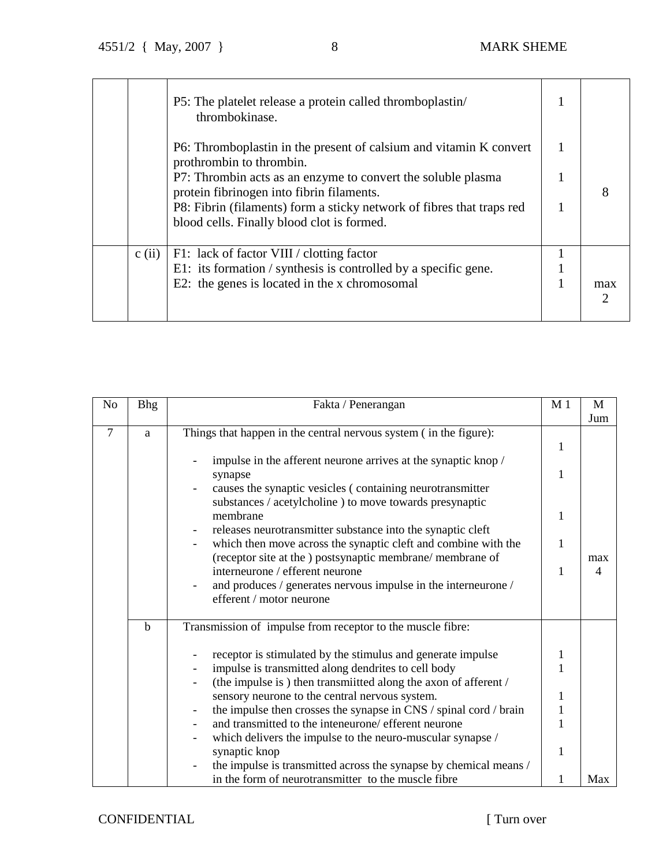|      | P5: The platelet release a protein called thromboplastin/<br>thrombokinase.                                         |     |
|------|---------------------------------------------------------------------------------------------------------------------|-----|
|      | P6: Thromboplastin in the present of calsium and vitamin K convert<br>prothrombin to thrombin.                      |     |
|      | P7: Thrombin acts as an enzyme to convert the soluble plasma<br>protein fibrinogen into fibrin filaments.           |     |
|      | P8: Fibrin (filaments) form a sticky network of fibres that traps red<br>blood cells. Finally blood clot is formed. |     |
| c(i) | F1: lack of factor VIII / clotting factor                                                                           |     |
|      | E1: its formation / synthesis is controlled by a specific gene.                                                     |     |
|      | E2: the genes is located in the x chromosomal                                                                       | max |

| No             | <b>Bhg</b>  | Fakta / Penerangan                                                                                                                                                                                                                                                                                                                                                                                                                                                                                                                                                                                                                              | M <sub>1</sub>        | M        |
|----------------|-------------|-------------------------------------------------------------------------------------------------------------------------------------------------------------------------------------------------------------------------------------------------------------------------------------------------------------------------------------------------------------------------------------------------------------------------------------------------------------------------------------------------------------------------------------------------------------------------------------------------------------------------------------------------|-----------------------|----------|
|                |             |                                                                                                                                                                                                                                                                                                                                                                                                                                                                                                                                                                                                                                                 |                       | Jum      |
| $\overline{7}$ | a           | Things that happen in the central nervous system (in the figure):<br>impulse in the afferent neurone arrives at the synaptic knop /<br>synapse<br>causes the synaptic vesicles (containing neurotransmitter<br>substances / acetylcholine ) to move towards presynaptic<br>membrane<br>releases neurotransmitter substance into the synaptic cleft<br>which then move across the synaptic cleft and combine with the<br>$\overline{\phantom{a}}$<br>(receptor site at the ) postsynaptic membrane/ membrane of<br>interneurone / efferent neurone<br>and produces / generates nervous impulse in the interneurone /<br>efferent / motor neurone | 1<br>1<br>1<br>1<br>1 | max<br>4 |
|                | $\mathbf b$ | Transmission of impulse from receptor to the muscle fibre:<br>receptor is stimulated by the stimulus and generate impulse<br>impulse is transmitted along dendrites to cell body<br>(the impulse is ) then transmiitted along the axon of afferent /<br>sensory neurone to the central nervous system.<br>the impulse then crosses the synapse in CNS / spinal cord / brain<br>and transmitted to the inteneurone/ efferent neurone<br>which delivers the impulse to the neuro-muscular synapse /<br>synaptic knop<br>the impulse is transmitted across the synapse by chemical means /<br>in the form of neurotransmitter to the muscle fibre  | 1<br>1<br>1<br>1      | Max      |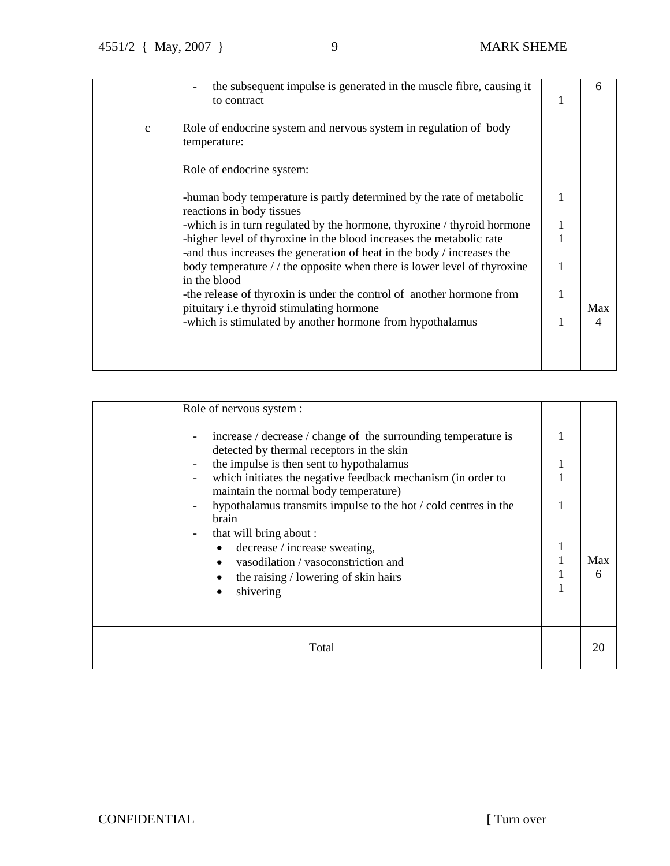|              | the subsequent impulse is generated in the muscle fibre, causing it<br>to contract                 | 6   |
|--------------|----------------------------------------------------------------------------------------------------|-----|
| $\mathbf{C}$ | Role of endocrine system and nervous system in regulation of body<br>temperature:                  |     |
|              | Role of endocrine system:                                                                          |     |
|              | -human body temperature is partly determined by the rate of metabolic<br>reactions in body tissues |     |
|              | -which is in turn regulated by the hormone, thyroxine / thyroid hormone                            |     |
|              | -higher level of thyroxine in the blood increases the metabolic rate                               |     |
|              | and thus increases the generation of heat in the body / increases the                              |     |
|              | body temperature // the opposite when there is lower level of thyroxine<br>in the blood            |     |
|              | -the release of thyroxin is under the control of another hormone from                              |     |
|              | pituitary <i>i.e</i> thyroid stimulating hormone                                                   | Max |
|              | -which is stimulated by another hormone from hypothalamus                                          | 4   |
|              |                                                                                                    |     |

| Role of nervous system :                                                                                                                |     |
|-----------------------------------------------------------------------------------------------------------------------------------------|-----|
| increase / decrease / change of the surrounding temperature is<br>$\overline{\phantom{a}}$<br>detected by thermal receptors in the skin |     |
| the impulse is then sent to hypothalamus<br>$\overline{\phantom{a}}$                                                                    |     |
| which initiates the negative feedback mechanism (in order to<br>maintain the normal body temperature)                                   |     |
| hypothalamus transmits impulse to the hot / cold centres in the<br>$\overline{\phantom{a}}$<br>brain                                    |     |
| that will bring about :<br>$\overline{\phantom{a}}$<br>decrease / increase sweating,                                                    |     |
| vasodilation / vasoconstriction and                                                                                                     | Max |
| the raising / lowering of skin hairs                                                                                                    | 6   |
| shivering                                                                                                                               |     |
|                                                                                                                                         |     |
| Total                                                                                                                                   | 20  |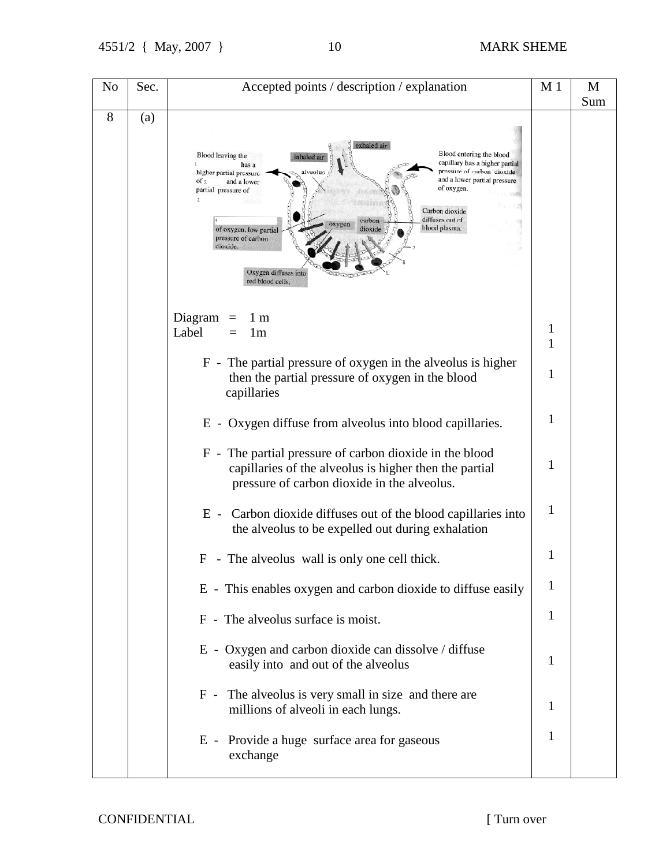| N <sub>o</sub> | Sec. | Accepted points / description / explanation                                                                                                                                                                                                                                                                                                                                                                                                                      | M <sub>1</sub>   | M<br>Sum |
|----------------|------|------------------------------------------------------------------------------------------------------------------------------------------------------------------------------------------------------------------------------------------------------------------------------------------------------------------------------------------------------------------------------------------------------------------------------------------------------------------|------------------|----------|
| 8              | (a)  | exhaled air<br>Blood entering the blood<br>Blood leaving the<br>inhaled air<br>capillary has a higher partial<br>has a<br>pressure of carbon dioxide<br>alveolus<br>higher partial pressure<br>and a lower partial pressure<br>of <sub>2</sub><br>and a lower<br>of oxygen.<br>partial pressure of<br>Carbon dioxide<br>diffuses out of<br>blood plasma.<br>of oxygen, low partial<br>pressure of carbon<br>dioxide.<br>Oxygen diffuses into<br>red blood cells. |                  |          |
|                |      | Diagram<br>1 <sub>m</sub><br>Label<br>1 <sub>m</sub><br>$\equiv$                                                                                                                                                                                                                                                                                                                                                                                                 | $\mathbf 1$<br>1 |          |
|                |      | $F$ - The partial pressure of oxygen in the alveolus is higher<br>then the partial pressure of oxygen in the blood<br>capillaries                                                                                                                                                                                                                                                                                                                                | 1                |          |
|                |      | E - Oxygen diffuse from alveolus into blood capillaries.                                                                                                                                                                                                                                                                                                                                                                                                         | 1                |          |
|                |      | F - The partial pressure of carbon dioxide in the blood<br>capillaries of the alveolus is higher then the partial<br>pressure of carbon dioxide in the alveolus.                                                                                                                                                                                                                                                                                                 | 1                |          |
|                |      | Carbon dioxide diffuses out of the blood capillaries into<br>E -<br>the alveolus to be expelled out during exhalation                                                                                                                                                                                                                                                                                                                                            | 1                |          |
|                |      | - The alveolus wall is only one cell thick.<br>F                                                                                                                                                                                                                                                                                                                                                                                                                 | 1                |          |
|                |      | E - This enables oxygen and carbon dioxide to diffuse easily                                                                                                                                                                                                                                                                                                                                                                                                     | 1                |          |
|                |      | - The alveolus surface is moist.<br>F                                                                                                                                                                                                                                                                                                                                                                                                                            | 1                |          |
|                |      | $E - Oxygen$ and carbon dioxide can dissolve / diffuse<br>easily into and out of the alveolus                                                                                                                                                                                                                                                                                                                                                                    | 1                |          |
|                |      | F - The alveolus is very small in size and there are<br>millions of alveoli in each lungs.                                                                                                                                                                                                                                                                                                                                                                       | 1                |          |
|                |      | E - Provide a huge surface area for gaseous<br>exchange                                                                                                                                                                                                                                                                                                                                                                                                          | 1                |          |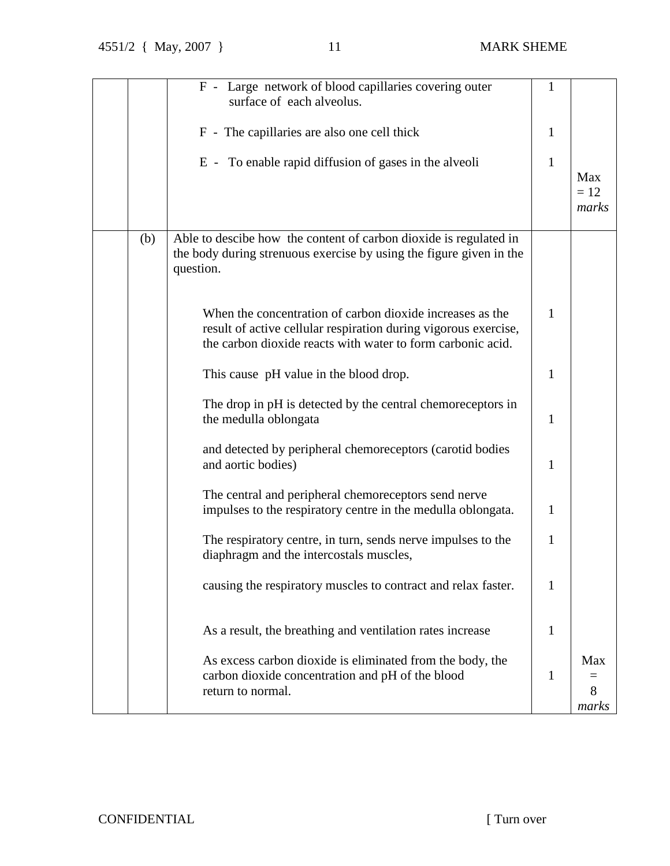|     | F - Large network of blood capillaries covering outer<br>surface of each alveolus.                                                                                                          |   |                       |
|-----|---------------------------------------------------------------------------------------------------------------------------------------------------------------------------------------------|---|-----------------------|
|     | F - The capillaries are also one cell thick                                                                                                                                                 | 1 |                       |
|     | E - To enable rapid diffusion of gases in the alveoli                                                                                                                                       | 1 | Max<br>$=12$<br>marks |
| (b) | Able to descibe how the content of carbon dioxide is regulated in<br>the body during strenuous exercise by using the figure given in the<br>question.                                       |   |                       |
|     | When the concentration of carbon dioxide increases as the<br>result of active cellular respiration during vigorous exercise,<br>the carbon dioxide reacts with water to form carbonic acid. | 1 |                       |
|     | This cause pH value in the blood drop.                                                                                                                                                      | 1 |                       |
|     | The drop in pH is detected by the central chemoreceptors in<br>the medulla oblongata                                                                                                        | 1 |                       |
|     | and detected by peripheral chemoreceptors (carotid bodies<br>and aortic bodies)                                                                                                             | 1 |                       |
|     | The central and peripheral chemoreceptors send nerve<br>impulses to the respiratory centre in the medulla oblongata.                                                                        | 1 |                       |
|     | The respiratory centre, in turn, sends nerve impulses to the<br>diaphragm and the intercostals muscles,                                                                                     | 1 |                       |
|     | causing the respiratory muscles to contract and relax faster.                                                                                                                               | 1 |                       |
|     | As a result, the breathing and ventilation rates increase                                                                                                                                   | 1 |                       |
|     | As excess carbon dioxide is eliminated from the body, the<br>carbon dioxide concentration and pH of the blood<br>return to normal.                                                          | 1 | Max<br>8<br>marks     |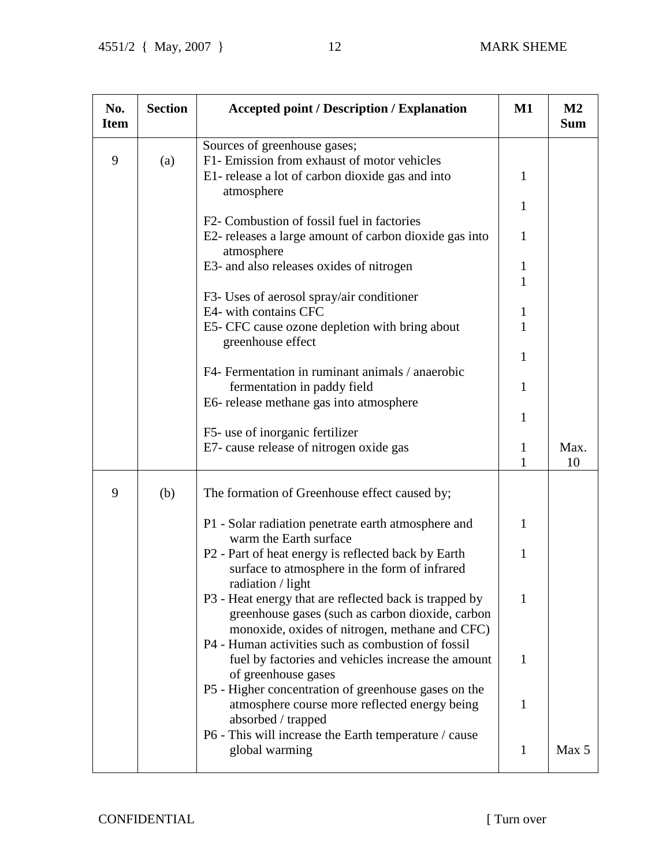| No.<br><b>Item</b> | <b>Section</b> | <b>Accepted point / Description / Explanation</b>                                                                                                            | $\mathbf{M1}$     | M <sub>2</sub><br><b>Sum</b> |
|--------------------|----------------|--------------------------------------------------------------------------------------------------------------------------------------------------------------|-------------------|------------------------------|
| 9                  | (a)            | Sources of greenhouse gases;<br>F1- Emission from exhaust of motor vehicles<br>E1- release a lot of carbon dioxide gas and into<br>atmosphere                | $\mathbf{1}$      |                              |
|                    |                |                                                                                                                                                              | 1                 |                              |
|                    |                | F2- Combustion of fossil fuel in factories<br>E2- releases a large amount of carbon dioxide gas into<br>atmosphere                                           | $\mathbf{1}$      |                              |
|                    |                | E3- and also releases oxides of nitrogen                                                                                                                     | 1<br>1            |                              |
|                    |                | F3- Uses of aerosol spray/air conditioner<br>E4- with contains CFC<br>E5- CFC cause ozone depletion with bring about<br>greenhouse effect                    | 1<br>1            |                              |
|                    |                | F4- Fermentation in ruminant animals / anaerobic<br>fermentation in paddy field                                                                              | 1<br>$\mathbf{1}$ |                              |
|                    |                | E6- release methane gas into atmosphere                                                                                                                      | 1                 |                              |
|                    |                | F5- use of inorganic fertilizer<br>E7- cause release of nitrogen oxide gas                                                                                   | 1                 | Max.<br>10                   |
| 9                  | (b)            | The formation of Greenhouse effect caused by;                                                                                                                |                   |                              |
|                    |                | P1 - Solar radiation penetrate earth atmosphere and<br>warm the Earth surface                                                                                | $\mathbf{1}$      |                              |
|                    |                | P2 - Part of heat energy is reflected back by Earth<br>surface to atmosphere in the form of infrared<br>radiation / light                                    | 1                 |                              |
|                    |                | P3 - Heat energy that are reflected back is trapped by<br>greenhouse gases (such as carbon dioxide, carbon<br>monoxide, oxides of nitrogen, methane and CFC) | 1                 |                              |
|                    |                | P4 - Human activities such as combustion of fossil<br>fuel by factories and vehicles increase the amount<br>of greenhouse gases                              | 1                 |                              |
|                    |                | P5 - Higher concentration of greenhouse gases on the<br>atmosphere course more reflected energy being<br>absorbed / trapped                                  | 1                 |                              |
|                    |                | P6 - This will increase the Earth temperature / cause<br>global warming                                                                                      | $\mathbf{1}$      | Max 5                        |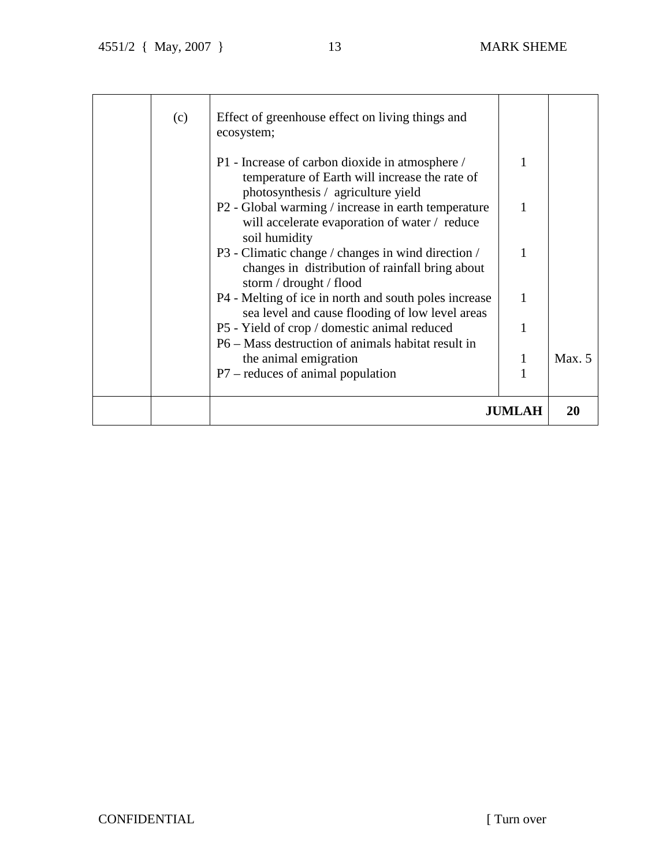| (c) | Effect of greenhouse effect on living things and<br>ecosystem;<br>P1 - Increase of carbon dioxide in atmosphere /<br>temperature of Earth will increase the rate of<br>photosynthesis / agriculture yield<br>P2 - Global warming / increase in earth temperature<br>will accelerate evaporation of water / reduce<br>soil humidity<br>P3 - Climatic change / changes in wind direction /<br>changes in distribution of rainfall bring about<br>storm / drought / flood<br>P4 - Melting of ice in north and south poles increase<br>sea level and cause flooding of low level areas | 1             |        |
|-----|------------------------------------------------------------------------------------------------------------------------------------------------------------------------------------------------------------------------------------------------------------------------------------------------------------------------------------------------------------------------------------------------------------------------------------------------------------------------------------------------------------------------------------------------------------------------------------|---------------|--------|
|     | P5 - Yield of crop / domestic animal reduced<br>P6 – Mass destruction of animals habitat result in                                                                                                                                                                                                                                                                                                                                                                                                                                                                                 | 1             | Max. 5 |
|     | the animal emigration<br>$P7$ – reduces of animal population                                                                                                                                                                                                                                                                                                                                                                                                                                                                                                                       | 1             |        |
|     |                                                                                                                                                                                                                                                                                                                                                                                                                                                                                                                                                                                    | <b>JUMLAH</b> | 20     |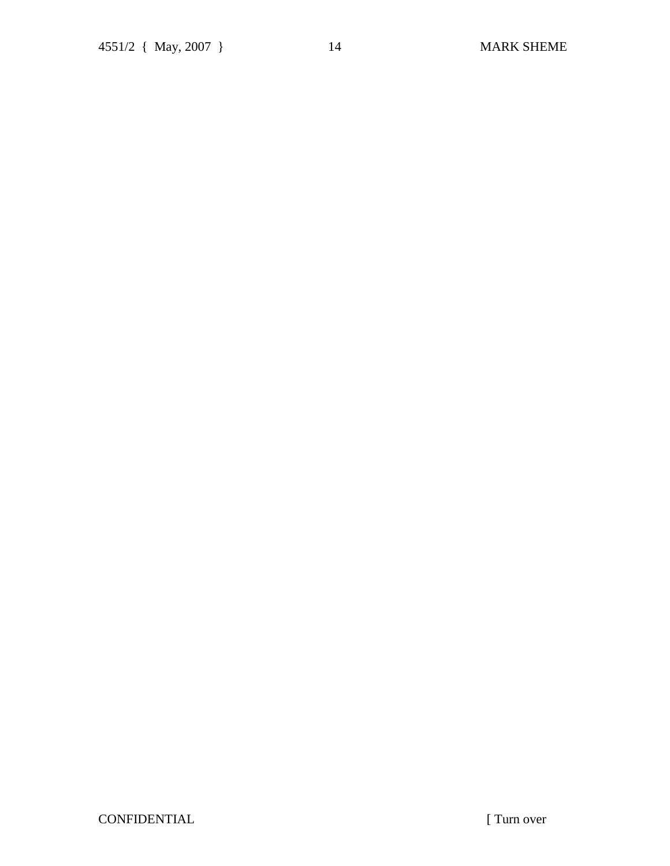CONFIDENTIAL [ Turn over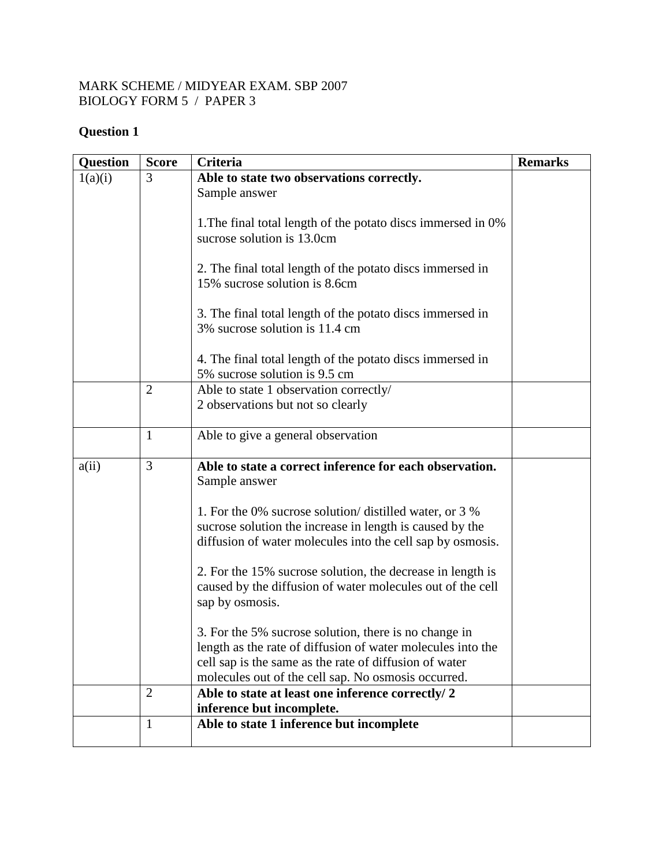#### MARK SCHEME / MIDYEAR EXAM. SBP 2007 BIOLOGY FORM 5 / PAPER 3

### **Question 1**

| Question | <b>Score</b>   | Criteria                                                                                                           | <b>Remarks</b> |
|----------|----------------|--------------------------------------------------------------------------------------------------------------------|----------------|
| 1(a)(i)  | 3              | Able to state two observations correctly.                                                                          |                |
|          |                | Sample answer                                                                                                      |                |
|          |                | 1. The final total length of the potato discs immersed in 0%                                                       |                |
|          |                | sucrose solution is 13.0cm                                                                                         |                |
|          |                |                                                                                                                    |                |
|          |                | 2. The final total length of the potato discs immersed in                                                          |                |
|          |                | 15% sucrose solution is 8.6cm                                                                                      |                |
|          |                |                                                                                                                    |                |
|          |                | 3. The final total length of the potato discs immersed in<br>3% sucrose solution is 11.4 cm                        |                |
|          |                |                                                                                                                    |                |
|          |                | 4. The final total length of the potato discs immersed in                                                          |                |
|          |                | 5% sucrose solution is 9.5 cm                                                                                      |                |
|          | $\overline{2}$ | Able to state 1 observation correctly/                                                                             |                |
|          |                | 2 observations but not so clearly                                                                                  |                |
|          | $\mathbf{1}$   | Able to give a general observation                                                                                 |                |
|          |                |                                                                                                                    |                |
| a(ii)    | 3              | Able to state a correct inference for each observation.                                                            |                |
|          |                | Sample answer                                                                                                      |                |
|          |                |                                                                                                                    |                |
|          |                | 1. For the 0% sucrose solution/distilled water, or 3 %<br>sucrose solution the increase in length is caused by the |                |
|          |                | diffusion of water molecules into the cell sap by osmosis.                                                         |                |
|          |                |                                                                                                                    |                |
|          |                | 2. For the 15% sucrose solution, the decrease in length is                                                         |                |
|          |                | caused by the diffusion of water molecules out of the cell                                                         |                |
|          |                | sap by osmosis.                                                                                                    |                |
|          |                | 3. For the 5% sucrose solution, there is no change in                                                              |                |
|          |                | length as the rate of diffusion of water molecules into the                                                        |                |
|          |                | cell sap is the same as the rate of diffusion of water                                                             |                |
|          |                | molecules out of the cell sap. No osmosis occurred.                                                                |                |
|          | $\overline{2}$ | Able to state at least one inference correctly/2<br>inference but incomplete.                                      |                |
|          | $\mathbf{1}$   | Able to state 1 inference but incomplete                                                                           |                |
|          |                |                                                                                                                    |                |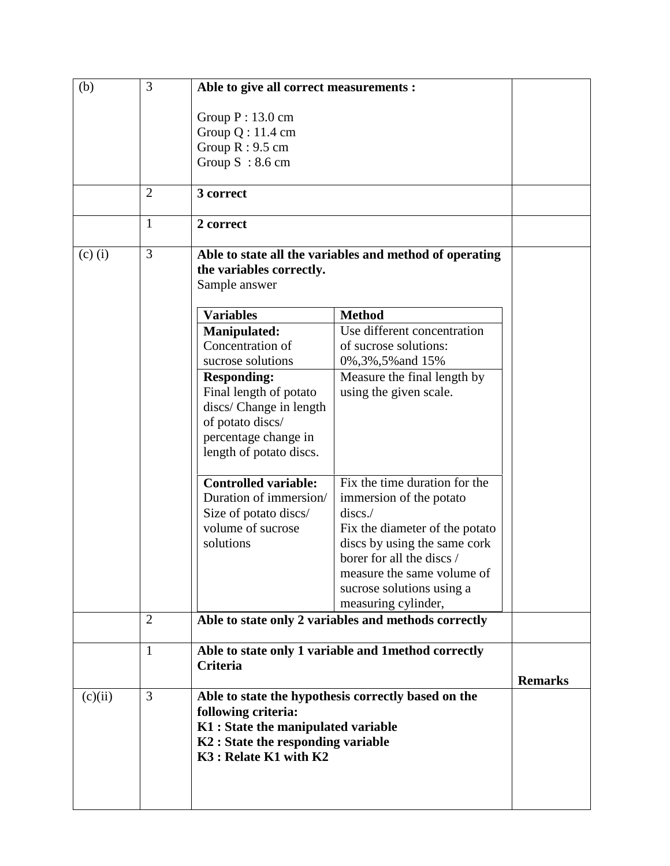| (b)         | 3<br>$\overline{2}$ | Able to give all correct measurements :<br>Group $P: 13.0$ cm<br>Group $Q: 11.4$ cm<br>Group $R: 9.5$ cm<br>Group $S : 8.6$ cm<br>3 correct                                                                                                                                                                   |                                                                                                                                                                                                                           |                |
|-------------|---------------------|---------------------------------------------------------------------------------------------------------------------------------------------------------------------------------------------------------------------------------------------------------------------------------------------------------------|---------------------------------------------------------------------------------------------------------------------------------------------------------------------------------------------------------------------------|----------------|
|             | $\mathbf{1}$        | 2 correct                                                                                                                                                                                                                                                                                                     |                                                                                                                                                                                                                           |                |
| $(c)$ $(i)$ | 3                   | the variables correctly.<br>Sample answer                                                                                                                                                                                                                                                                     | Able to state all the variables and method of operating                                                                                                                                                                   |                |
|             |                     | <b>Variables</b><br>Manipulated:<br>Concentration of<br>sucrose solutions<br><b>Responding:</b><br>Final length of potato<br>discs/ Change in length<br>of potato discs/<br>percentage change in<br>length of potato discs.<br><b>Controlled variable:</b><br>Duration of immersion/<br>Size of potato discs/ | <b>Method</b><br>Use different concentration<br>of sucrose solutions:<br>0%,3%,5% and 15%<br>Measure the final length by<br>using the given scale.<br>Fix the time duration for the<br>immersion of the potato<br>discs./ |                |
|             |                     | volume of sucrose<br>solutions                                                                                                                                                                                                                                                                                | Fix the diameter of the potato<br>discs by using the same cork<br>borer for all the discs /<br>measure the same volume of<br>sucrose solutions using a<br>measuring cylinder,                                             |                |
|             | $\overline{2}$      |                                                                                                                                                                                                                                                                                                               | Able to state only 2 variables and methods correctly                                                                                                                                                                      |                |
|             | $\mathbf{1}$        | <b>Criteria</b>                                                                                                                                                                                                                                                                                               | Able to state only 1 variable and 1 method correctly                                                                                                                                                                      | <b>Remarks</b> |
| (c)(ii)     | 3                   | following criteria:<br>K1 : State the manipulated variable<br>K2 : State the responding variable<br>K3 : Relate K1 with K2                                                                                                                                                                                    | Able to state the hypothesis correctly based on the                                                                                                                                                                       |                |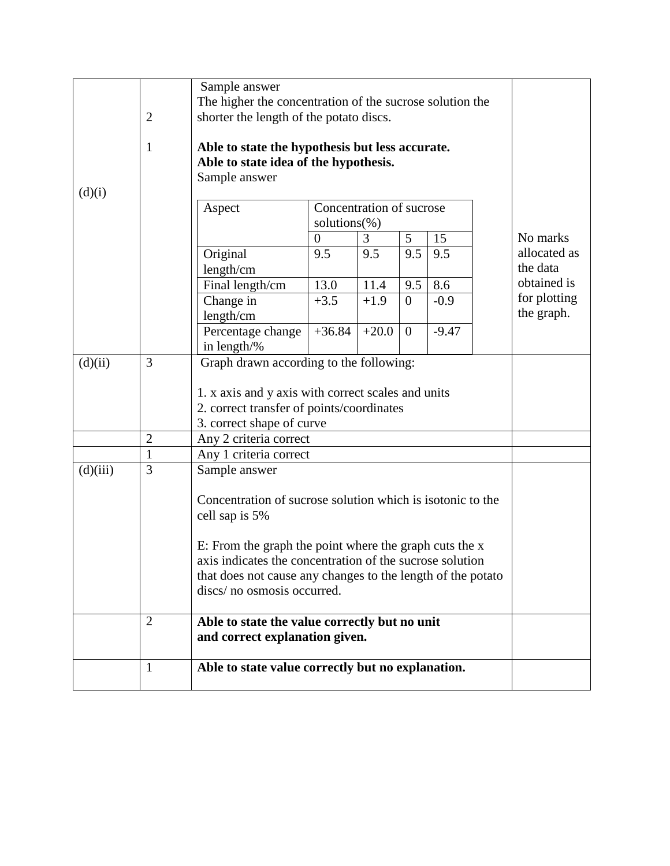|          |                | Sample answer                                                                                                                                                                                                     |                                              |         |                |         |              |
|----------|----------------|-------------------------------------------------------------------------------------------------------------------------------------------------------------------------------------------------------------------|----------------------------------------------|---------|----------------|---------|--------------|
|          |                | The higher the concentration of the sucrose solution the                                                                                                                                                          |                                              |         |                |         |              |
|          | $\overline{2}$ | shorter the length of the potato discs.                                                                                                                                                                           |                                              |         |                |         |              |
| (d)(i)   | 1              | Able to state the hypothesis but less accurate.<br>Able to state idea of the hypothesis.<br>Sample answer                                                                                                         |                                              |         |                |         |              |
|          |                | Aspect                                                                                                                                                                                                            | Concentration of sucrose<br>solutions $(\%)$ |         |                |         |              |
|          |                |                                                                                                                                                                                                                   | $\theta$                                     |         | 5              |         | No marks     |
|          |                |                                                                                                                                                                                                                   |                                              | 3       |                | 15      | allocated as |
|          |                | Original                                                                                                                                                                                                          | 9.5                                          | 9.5     | 9.5            | 9.5     | the data     |
|          |                | length/cm                                                                                                                                                                                                         |                                              |         |                |         | obtained is  |
|          |                | Final length/cm                                                                                                                                                                                                   | 13.0                                         | 11.4    | 9.5            | 8.6     | for plotting |
|          |                | Change in<br>length/cm                                                                                                                                                                                            | $+3.5$                                       | $+1.9$  | $\overline{0}$ | $-0.9$  | the graph.   |
|          |                | Percentage change                                                                                                                                                                                                 | $+36.84$                                     | $+20.0$ | $\overline{0}$ | $-9.47$ |              |
|          |                | in length/%                                                                                                                                                                                                       |                                              |         |                |         |              |
| (d)(ii)  | 3              | Graph drawn according to the following:                                                                                                                                                                           |                                              |         |                |         |              |
|          |                | 1. x axis and y axis with correct scales and units<br>2. correct transfer of points/coordinates<br>3. correct shape of curve                                                                                      |                                              |         |                |         |              |
|          | $\overline{2}$ | Any 2 criteria correct                                                                                                                                                                                            |                                              |         |                |         |              |
|          | 1              | Any 1 criteria correct                                                                                                                                                                                            |                                              |         |                |         |              |
| (d)(iii) | 3              | Sample answer<br>Concentration of sucrose solution which is isotonic to the<br>cell sap is 5%                                                                                                                     |                                              |         |                |         |              |
|          |                | E: From the graph the point where the graph cuts the $x$<br>axis indicates the concentration of the sucrose solution<br>that does not cause any changes to the length of the potato<br>discs/no osmosis occurred. |                                              |         |                |         |              |
|          | $\overline{2}$ | Able to state the value correctly but no unit<br>and correct explanation given.                                                                                                                                   |                                              |         |                |         |              |
|          | $\mathbf{1}$   | Able to state value correctly but no explanation.                                                                                                                                                                 |                                              |         |                |         |              |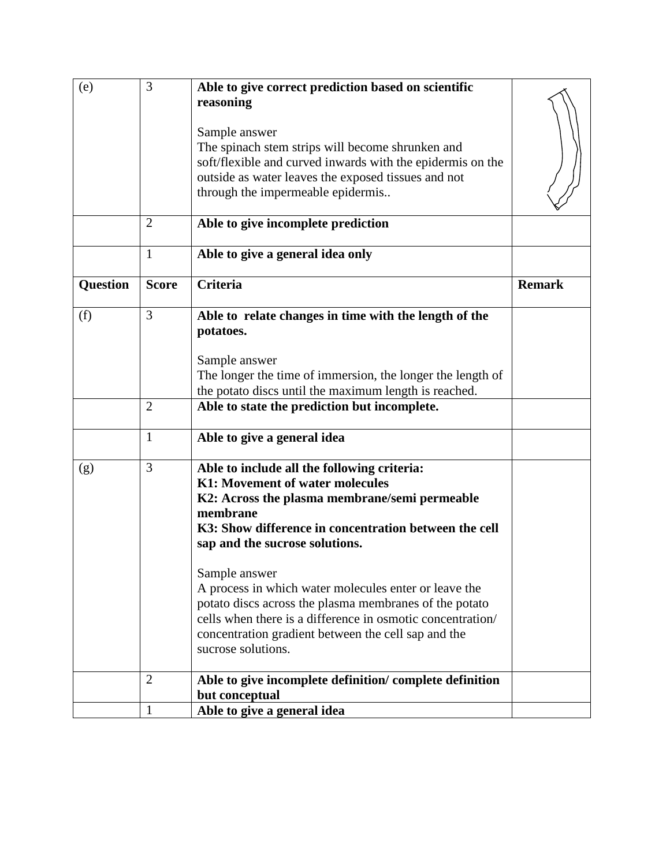| (e)             | 3<br>$\overline{2}$<br>1 | Able to give correct prediction based on scientific<br>reasoning<br>Sample answer<br>The spinach stem strips will become shrunken and<br>soft/flexible and curved inwards with the epidermis on the<br>outside as water leaves the exposed tissues and not<br>through the impermeable epidermis<br>Able to give incomplete prediction<br>Able to give a general idea only                                                                                                                                             |               |
|-----------------|--------------------------|-----------------------------------------------------------------------------------------------------------------------------------------------------------------------------------------------------------------------------------------------------------------------------------------------------------------------------------------------------------------------------------------------------------------------------------------------------------------------------------------------------------------------|---------------|
| <b>Question</b> | <b>Score</b>             | <b>Criteria</b>                                                                                                                                                                                                                                                                                                                                                                                                                                                                                                       | <b>Remark</b> |
| (f)             | 3                        | Able to relate changes in time with the length of the<br>potatoes.<br>Sample answer<br>The longer the time of immersion, the longer the length of<br>the potato discs until the maximum length is reached.                                                                                                                                                                                                                                                                                                            |               |
|                 | $\overline{2}$           | Able to state the prediction but incomplete.                                                                                                                                                                                                                                                                                                                                                                                                                                                                          |               |
|                 | $\mathbf{1}$             | Able to give a general idea                                                                                                                                                                                                                                                                                                                                                                                                                                                                                           |               |
| (g)             | 3                        | Able to include all the following criteria:<br>K1: Movement of water molecules<br>K2: Across the plasma membrane/semi permeable<br>membrane<br>K3: Show difference in concentration between the cell<br>sap and the sucrose solutions.<br>Sample answer<br>A process in which water molecules enter or leave the<br>potato discs across the plasma membranes of the potato<br>cells when there is a difference in osmotic concentration/<br>concentration gradient between the cell sap and the<br>sucrose solutions. |               |
|                 | $\overline{2}$           | Able to give incomplete definition/ complete definition                                                                                                                                                                                                                                                                                                                                                                                                                                                               |               |
|                 |                          | but conceptual                                                                                                                                                                                                                                                                                                                                                                                                                                                                                                        |               |
|                 | $\mathbf{1}$             | Able to give a general idea                                                                                                                                                                                                                                                                                                                                                                                                                                                                                           |               |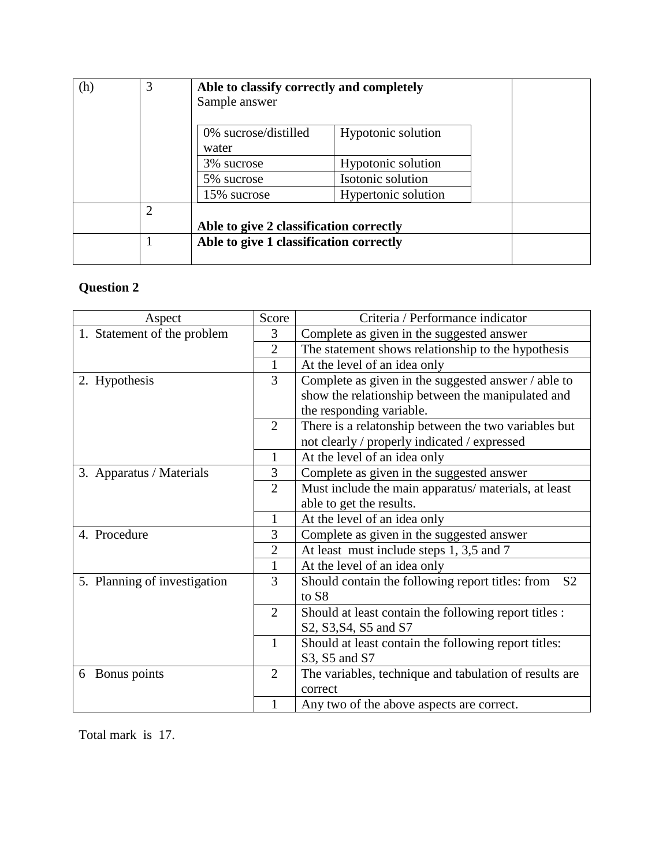| (h) | 3 | Able to classify correctly and completely<br>Sample answer |                     |  |
|-----|---|------------------------------------------------------------|---------------------|--|
|     |   | 0% sucrose/distilled<br>water                              | Hypotonic solution  |  |
|     |   | 3% sucrose                                                 | Hypotonic solution  |  |
|     |   | 5% sucrose                                                 | Isotonic solution   |  |
|     |   | 15% sucrose                                                | Hypertonic solution |  |
|     | 2 | Able to give 2 classification correctly                    |                     |  |
|     |   | Able to give 1 classification correctly                    |                     |  |

# **Question 2**

| Aspect                       | Score          | Criteria / Performance indicator                                   |
|------------------------------|----------------|--------------------------------------------------------------------|
| 1. Statement of the problem  | 3              | Complete as given in the suggested answer                          |
|                              | $\overline{2}$ | The statement shows relationship to the hypothesis                 |
|                              | $\mathbf{1}$   | At the level of an idea only                                       |
| 2. Hypothesis                | 3              | Complete as given in the suggested answer / able to                |
|                              |                | show the relationship between the manipulated and                  |
|                              |                | the responding variable.                                           |
|                              | 2              | There is a relatonship between the two variables but               |
|                              |                | not clearly / properly indicated / expressed                       |
|                              | 1              | At the level of an idea only                                       |
| 3. Apparatus / Materials     | 3              | Complete as given in the suggested answer                          |
|                              | $\overline{2}$ | Must include the main apparatus/ materials, at least               |
|                              |                | able to get the results.                                           |
|                              | $\mathbf{1}$   | At the level of an idea only                                       |
| 4. Procedure                 | 3              | Complete as given in the suggested answer                          |
|                              | $\overline{2}$ | At least must include steps 1, 3,5 and 7                           |
|                              | 1              | At the level of an idea only                                       |
| 5. Planning of investigation | 3              | Should contain the following report titles: from<br>S <sub>2</sub> |
|                              |                | to S <sub>8</sub>                                                  |
|                              | $\overline{2}$ | Should at least contain the following report titles :              |
|                              |                | S2, S3, S4, S5 and S7                                              |
|                              | $\mathbf{1}$   | Should at least contain the following report titles:               |
|                              |                | S3, S5 and S7                                                      |
| Bonus points<br>6            | $\overline{2}$ | The variables, technique and tabulation of results are             |
|                              |                | correct                                                            |
|                              |                | Any two of the above aspects are correct.                          |

Total mark is 17.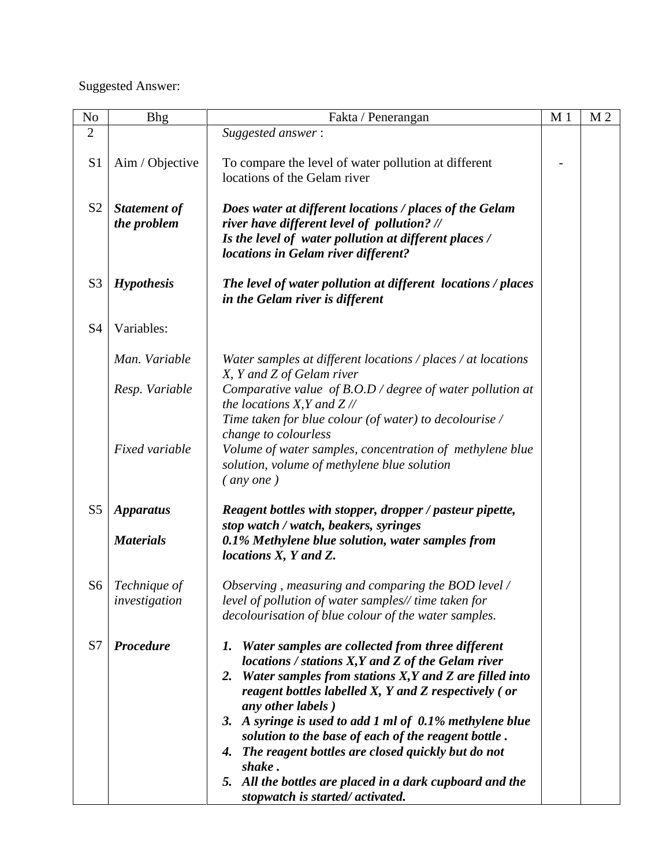# Suggested Answer:

| No             | <b>Bhg</b>                         | Fakta / Penerangan                                                                                                                                                                                                                                                                                                                                                                                                                                      | M <sub>1</sub> | M <sub>2</sub> |
|----------------|------------------------------------|---------------------------------------------------------------------------------------------------------------------------------------------------------------------------------------------------------------------------------------------------------------------------------------------------------------------------------------------------------------------------------------------------------------------------------------------------------|----------------|----------------|
| $\overline{2}$ |                                    | Suggested answer:                                                                                                                                                                                                                                                                                                                                                                                                                                       |                |                |
| S <sub>1</sub> | Aim / Objective                    | To compare the level of water pollution at different<br>locations of the Gelam river                                                                                                                                                                                                                                                                                                                                                                    |                |                |
| S <sub>2</sub> | <b>Statement of</b><br>the problem | Does water at different locations / places of the Gelam<br>river have different level of pollution? //<br>Is the level of water pollution at different places /<br>locations in Gelam river different?                                                                                                                                                                                                                                                  |                |                |
| S <sub>3</sub> | <b>Hypothesis</b>                  | The level of water pollution at different locations / places<br>in the Gelam river is different                                                                                                                                                                                                                                                                                                                                                         |                |                |
| S <sub>4</sub> | Variables:                         |                                                                                                                                                                                                                                                                                                                                                                                                                                                         |                |                |
|                | Man. Variable                      | Water samples at different locations $\frac{1}{2}$ places $\frac{1}{2}$ at locations<br>X, Y and Z of Gelam river                                                                                                                                                                                                                                                                                                                                       |                |                |
|                | Resp. Variable                     | Comparative value of B.O.D / degree of water pollution at<br>the locations $X, Y$ and $Z$ //<br>Time taken for blue colour (of water) to decolourise /                                                                                                                                                                                                                                                                                                  |                |                |
|                | Fixed variable                     | change to colourless<br>Volume of water samples, concentration of methylene blue<br>solution, volume of methylene blue solution<br>$($ any one)                                                                                                                                                                                                                                                                                                         |                |                |
| S <sub>5</sub> | <b>Apparatus</b>                   | Reagent bottles with stopper, dropper / pasteur pipette,<br>stop watch / watch, beakers, syringes                                                                                                                                                                                                                                                                                                                                                       |                |                |
|                | <b>Materials</b>                   | 0.1% Methylene blue solution, water samples from<br>locations X, Y and Z.                                                                                                                                                                                                                                                                                                                                                                               |                |                |
| S <sub>6</sub> | Technique of<br>investigation      | Observing, measuring and comparing the BOD level /<br>level of pollution of water samples// time taken for<br>decolourisation of blue colour of the water samples.                                                                                                                                                                                                                                                                                      |                |                |
| S7             | <b>Procedure</b>                   | Water samples are collected from three different<br>1.<br>$locations / stations X, Y, and Z of the Gelam river$<br>Water samples from stations $X, Y$ and $Z$ are filled into<br>2.<br>reagent bottles labelled X, Y and Z respectively (or<br>any other labels)<br>3. A syringe is used to add 1 ml of 0.1% methylene blue<br>solution to the base of each of the reagent bottle.<br>The reagent bottles are closed quickly but do not<br>4.<br>shake. |                |                |
|                |                                    | 5. All the bottles are placed in a dark cupboard and the<br>stopwatch is started/activated.                                                                                                                                                                                                                                                                                                                                                             |                |                |